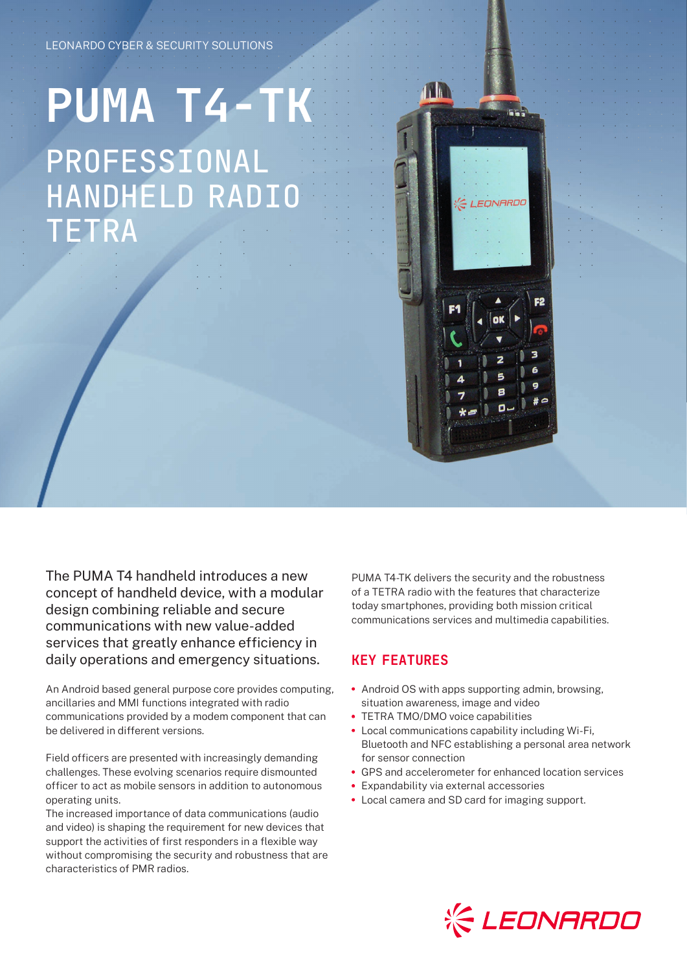## LEONARDO CYBER & SECURITY SOLUTIONS

## **PUMA T4-TK** PROFESSIONAL HANDHELD RADIO TETRA



The PUMA T4 handheld introduces a new concept of handheld device, with a modular design combining reliable and secure communications with new value-added services that greatly enhance efficiency in daily operations and emergency situations.

An Android based general purpose core provides computing, ancillaries and MMI functions integrated with radio communications provided by a modem component that can be delivered in different versions.

Field officers are presented with increasingly demanding challenges. These evolving scenarios require dismounted officer to act as mobile sensors in addition to autonomous operating units.

The increased importance of data communications (audio and video) is shaping the requirement for new devices that support the activities of first responders in a flexible way without compromising the security and robustness that are characteristics of PMR radios.

PUMA T4-TK delivers the security and the robustness of a TETRA radio with the features that characterize today smartphones, providing both mission critical communications services and multimedia capabilities.

## KEY FEATURES

- **•** Android OS with apps supporting admin, browsing, situation awareness, image and video
- **•** TETRA TMO/DMO voice capabilities
- **•** Local communications capability including Wi-Fi, Bluetooth and NFC establishing a personal area network for sensor connection
- **•** GPS and accelerometer for enhanced location services
- **•** Expandability via external accessories
- **•** Local camera and SD card for imaging support.